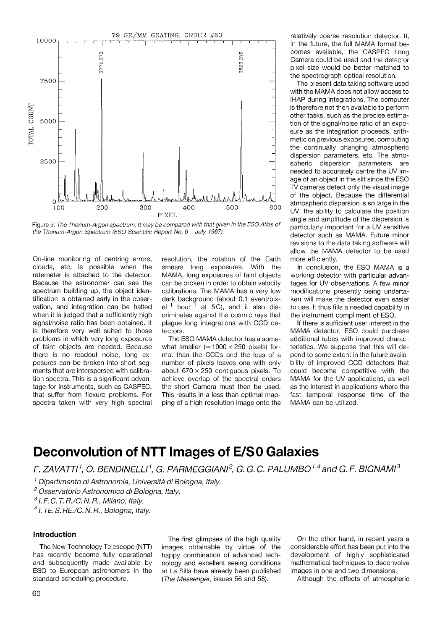

Figure 5: The Thorium-Argon spectrum. It may be compared with that given in the ESO Atlas of the Thorium-Argon Spectrum (ESO Scientific Report No. 6 - July 1987).

On-line monitoring of centring errors, clouds, etc. is possible when the ratemeter is attached to the detector. Because the astronomer can see the spectrum building up, the object identification is obtained early in the observation, and integration can be halted when it is judged that a sufficiently high signal/noise ratio has been obtained. It is therefore very well suited to those problems in which very long exposures of faint objects are needed. Because there is no readout noise, long exposures can be broken into short segments that are interspersed with calibration spectra. This is a significant advantage for instruments, such as CASPEC, that suffer from flexure problems. For spectra taken with very high spectral resolution, the rotation of the Earth smears long exposures. With the MAMA, long exposures of faint objects can be broken in order to obtain velocity calibrations. The MAMA has a very low dark background (about 0.1 event/pix $el^{-1}$  hour<sup>-1</sup> at 5C), and it also discriminates against the cosmic rays that plague long integrations with CCD detectors.

The ESO MAMA detector has a somewhat smaller ( $\approx$  1000  $\times$  250 pixels) format than the CCDs and the loss of a number of pixels leaves one with only about  $670 \times 250$  contiguous pixels. To achieve overlap of the spectral orders the short Camera must then be used. This results in a less than optimal mapping of a high resolution image onto the

relatively coarse resolution detector. If, in the future, the full MAMA format becomes available, the CASPEC Long Camera could be used and the detector pixel size would be better matched to the spectrograph optical resolution.

The present data taking software used with the MAMA does not allow access to IHAP during integrations. The computer is therefore not then available to perform other tasks, such as the precise estimation of the signal/noise ratio of an exposure as the integration proceeds, arithmetic on previous exposures, computing the continually changing atmospheric dispersion parameters, etc. The atmospheric dispersion parameters are needed to accurately centre the UV image of an object in the slit since the ESO TV cameras detect only the visual image of the object. Because the differential atmospheric dispersion is so large in the UV, the ability to calculate the position angle and amplitude of the dispersion is particularly important for a UV sensitive detector such as MAMA. Future minor revisions to the data taking software will allow the MAMA detector to be used more efficiently.

In conclusion, the ESO MAMA is a working detector with particular advantages for UV observations. A few minor modifications presently being undertaken will make the detector even easier to use. It thus fills a needed capability in the instrument compliment of ESO.

If there is sufficient user interest in the MAMA detector, ESO could purchase additional tubes with improved characteristics. We suppose that this will depend to some extent in the future availability of improved CCD detectors that could become competitive with the MAMA for the UV applications, as well as the interest in applications where the fast temporal response time of the MAMA can be utilized.

# **Deconvolution of NTT Images of E/S0 Galaxies**

F. ZAVATTI<sup>1</sup>, O. BENDINELLI<sup>1</sup>, G. PARMEGGIANI<sup>2</sup>, G. G. C. PALUMBO<sup>1,4</sup> and G. F. BIGNAMI<sup>3</sup>

' Dipartimento di Astronomia, Universita di Bologna, Italy.

<sup>2</sup> Osservatorio Astronomico di Bologna, Italy.

 $3$  l. F. C. T. R./C. N. R., Milano, Italy.

 $<sup>4</sup>$  I. TE. S. RE./C. N. R., Bologna, Italy.</sup>

**Introduction**<br>The first glimpses of the high quality On the other hand, in recent years a<br>The New Technology Telescope (NTT) images obtainable by virtue of the considerable effort has been put into the images obtainable by virtue of the has recently become fully operational happy combination of advanced tech- development of highly sophisticated and subsequently made available by nology and excellent seeing conditions mathematical techniques to deconvolve ESO to European astronomers in the at La Silla have already been published images in one and two dimensions.<br>
standard scheduling procedure. (The Messenger, issues 56 and 58). Although the effects of atmospheric (The Messenger, issues 56 and 58).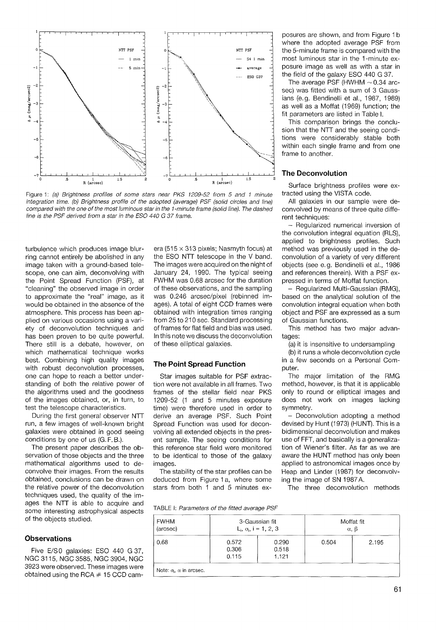

Figure 1: (a) Brightness profiles of some stars near PKS 1209-52 from 5 and 1 minute integration time. (b) Brightness profile of the adopted (average) PSF (solid circles and line) compared with the one of the most luminous star in the I-minute frame (solid line). The dashed line is the PSF derived from a star in the ESO 440 G 37 frame.

turbulence which produces image blurring cannot entirely be abolished in any image taken with a ground-based telescope, one can aim, deconvolving with the Point Spread Function (PSF), at "cleaning" the observed image in order to approximate the "real" image, as it would be obtained in the absence of the atmosphere. This process has been applied on various occasions using a variety of deconvolution techniques and has been proven to be quite powerful. There still is a debate, however, on which mathematical technique works best. Combining high quality images **uest.** Combining might quanty miages **The Point Spread Function** with robust deconvolution processes, one can hope to reach a better understanding of both the relative power of the algorithms used and the goodness of the images obtained, or, in turn, to test the telescope characteristics.

During the first general observer NTT run, a few images of well-known bright galaxies were obtained in good seeing conditions by one of us (G. F. B.).

The present paper describes the observation of those objects and the three mathematical algorithms used to deconvolve their images. From the results obtained, conclusions can be drawn on the relative power of the deconvolution techniques used, the quality of the images the NTT is able to acquire and some interesting astrophysical aspects TABLE I: Parameters of the fitted average PSF of the objects studied.

## **Observations**

Five E/S0 galaxies: ESO 440 G 37, NGC 31 15, NGC 3585, NGC 3904, NGC 3923 were observed. These images were obtained using the RCA  $#$  15 CCD cam-

era (515  $\times$  313 pixels; Nasmyth focus) at the ESO NTT telescope in the V band. The images were acquired on the night of January 24, 1990. The typical seeing FWHM was 0.68 arcsec for the duration of these observations, and the sampling was 0.246 arcsec/pixel (rebinned images). A total of eight CCD frames were obtained with integration times ranging from 25 to 210 sec. Standard processing of frames for flat field and bias was used. In this note we discuss the deconvolution of these elliptical galaxies.

Star images suitable for PSF extraction were not available in all frames. Two frames of the stellar field near PKS 1209-52 (1 and 5 minutes exposure time) were therefore used in order to derive an average PSF. Such Point Spread Function was used for deconvolving all extended objects in the present sample. The seeing conditions for this reference star field were monitored to be identical to those of the galaxy images.

The stability of the star profiles can be deduced from Figure 1 a, where some stars from both 1 and 5 minutes exposures are shown, and from Figure I b where the adopted average PSF from the 5-minute frame is compared with the most luminous star in the I-minute exposure image as well as with a star in the field of the galaxy ESO 440 G 37.

The average PSF (HWHM  $\sim$  0.34 arcsec) was fitted with a sum of 3 Gaussians (e.g. Bendinelli et al., 1987, 1989) as well as a Moffat (1969) function; the fit parameters are listed in Table I.

This comparison brings the conclusion that the NTT and the seeing conditions were considerably stable both within each single frame and from one frame to another.

## **The Deconvolution**

Surface brightness profiles were extracted using the VISTA code.

All galaxies in our sample were deconvolved by means of three quite different techniques:

- Regularized numerical inversion of the convolution integral equation (RLS), applied to brightness profiles. Such method was previously used in the deconvolution of a variety of very different objects (see e.g. Bendinelli et al., 1986 and references therein). With a PSF expressed in terms of Moffat function.

- Regularized Multi-Gaussian (RMG), based on the analytical solution of the convolution integral equation when both object and PSF are expressed as a sum of Gaussian functions.

This method has two major advantages:

(a) it is insensitive to undersampling

(b) it runs a whole deconvolution cycle in a few seconds on a Personal Computer.

The major limitation of the RMG method, however, is that it is applicable only to round or elliptical images and does not work on images lacking symmetry.

- Deconvolution adopting a method devised by Hunt (1973) (HUNT). This is a bidimensional deconvolution and makes use of FFT, and basically is a generalization of Wiener's filter. As far as we are aware the HUNT method has only been applied to astronomical images once by Heap and Linder (1987) for deconvolving the image of SN 1987A.

The three deconvolution methods

| <b>FWHM</b><br>(arcsec)                |                         | 3-Gaussian fit<br>$L_i$ , $\sigma_i$ , i = 1, 2, 3 | Moffat fit<br>$\alpha$ , $\beta$ |       |  |
|----------------------------------------|-------------------------|----------------------------------------------------|----------------------------------|-------|--|
| 0.68                                   | 0.572<br>0.306<br>0.115 | 0.290<br>0.518<br>1.121                            | 0.504                            | 2.195 |  |
| Note: $\sigma_i$ , $\alpha$ in arcsec. |                         |                                                    |                                  |       |  |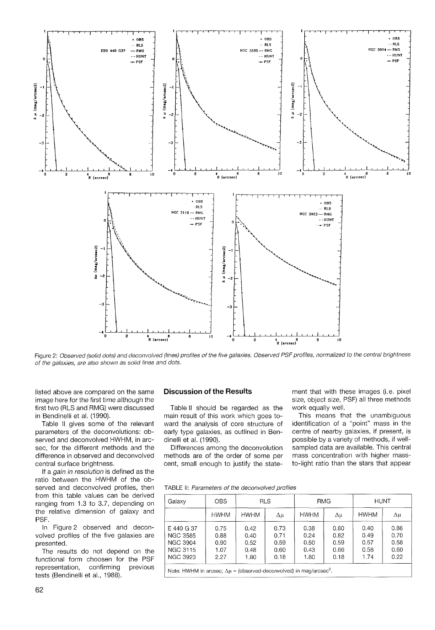

Figure 2: Observed (solid dots) and deconvolved (lines) profiles of the five galaxies. Observed PSF profiles, normalized to the central brightness of the galaxies, are also shown as solid lines and dots.

listed above are compared on the same image here for the first time although the first two (RLS and RMG) were discussed in Bendinelli et al. (1990).

Table II gives some of the relevant parameters of the deconvolutions: observed and deconvolved HWHM, in arcsec, for the different methods and the difference in observed and deconvolved central surface brightness.

If a gain in resolution is defined as the ratio between the HWHM of the observed and deconvolved profiles, then from this table values can be derived ranging from 1.3 to 3.7, depending on the relative dimension of galaxy and PSF.

In Figure 2 observed and deconvolved profiles of the five galaxies are presented.

The results do not depend on the functional form choosen for the PSF representation, confirming previous tests (Bendinelli et al., 1988).

# **Discussion of the Results**

Table II should be regarded as the main result of this work which goes toward the analysis of core structure of early type galaxies, as outlined in Bendinelli et al. (1990).

Differences among the deconvolution methods are of the order of some per cent, small enough to justify the statement that with these images (i.e. pixel size, object size, PSF) all three methods work equally well.

This means that the unambiguous identification of a "point" mass in the centre of nearby galaxies, if present, is possible by a variety of methods, if wellsampled data are available. This central mass concentration with higher massto-light ratio than the stars that appear

TABLE II: Parameters of the deconvolved profiles

| Galaxy          | OBS.        | <b>RLS</b>  |              | <b>RMG</b>  |              | <b>HUNT</b> |      |
|-----------------|-------------|-------------|--------------|-------------|--------------|-------------|------|
|                 | <b>HWHM</b> | <b>HWHM</b> | $\Delta \mu$ | <b>HWHM</b> | $\Delta \mu$ | <b>HWHM</b> | Δμ   |
| E 440 G 37      | 0.75        | 0.42        | 0.73         | 0.38        | 0.80         | 0.40        | 0.86 |
| <b>NGC 3585</b> | 0.88        | 0.40        | 0.71         | 0.24        | 0.82         | 0.49        | 0.70 |
| <b>NGC 3904</b> | 0.90        | 0.52        | 0.59         | 0.50        | 0.59         | 0.57        | 0.58 |
| <b>NGC 3115</b> | 1.07        | 0.48        | 0.60         | 0.43        | 0.66         | 0.58        | 0.60 |
| <b>NGC 3923</b> | 2.27        | 1.80        | 0.18         | 1.80        | 0.18         | 1.74        | 0.22 |